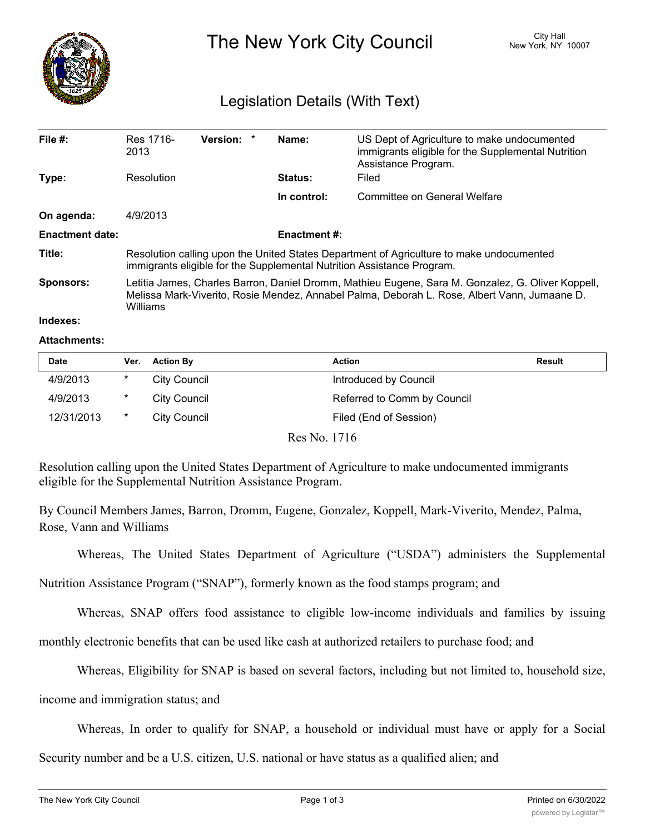

The New York City Council New York, NY 10007

## Legislation Details (With Text)

| File $#$ :             | Res 1716-<br>2013                                                                                                                                                                                             | <b>Version:</b> |  | Name:          | US Dept of Agriculture to make undocumented<br>immigrants eligible for the Supplemental Nutrition<br>Assistance Program. |  |  |
|------------------------|---------------------------------------------------------------------------------------------------------------------------------------------------------------------------------------------------------------|-----------------|--|----------------|--------------------------------------------------------------------------------------------------------------------------|--|--|
| Type:                  | Resolution                                                                                                                                                                                                    |                 |  | <b>Status:</b> | Filed                                                                                                                    |  |  |
|                        |                                                                                                                                                                                                               |                 |  | In control:    | Committee on General Welfare                                                                                             |  |  |
| On agenda:             | 4/9/2013                                                                                                                                                                                                      |                 |  |                |                                                                                                                          |  |  |
| <b>Enactment date:</b> | <b>Enactment #:</b>                                                                                                                                                                                           |                 |  |                |                                                                                                                          |  |  |
| Title:                 | Resolution calling upon the United States Department of Agriculture to make undocumented<br>immigrants eligible for the Supplemental Nutrition Assistance Program.                                            |                 |  |                |                                                                                                                          |  |  |
| <b>Sponsors:</b>       | Letitia James, Charles Barron, Daniel Dromm, Mathieu Eugene, Sara M. Gonzalez, G. Oliver Koppell,<br>Melissa Mark-Viverito, Rosie Mendez, Annabel Palma, Deborah L. Rose, Albert Vann, Jumaane D.<br>Williams |                 |  |                |                                                                                                                          |  |  |
| Indexes:               |                                                                                                                                                                                                               |                 |  |                |                                                                                                                          |  |  |

## **Attachments:**

| <b>Date</b> | Ver.   | <b>Action By</b> | <b>Action</b>               | Result |
|-------------|--------|------------------|-----------------------------|--------|
| 4/9/2013    | $\ast$ | City Council     | Introduced by Council       |        |
| 4/9/2013    | $\ast$ | City Council     | Referred to Comm by Council |        |
| 12/31/2013  | $\ast$ | City Council     | Filed (End of Session)      |        |

Res No. 1716

Resolution calling upon the United States Department of Agriculture to make undocumented immigrants eligible for the Supplemental Nutrition Assistance Program.

By Council Members James, Barron, Dromm, Eugene, Gonzalez, Koppell, Mark-Viverito, Mendez, Palma, Rose, Vann and Williams

Whereas, The United States Department of Agriculture ("USDA") administers the Supplemental

Nutrition Assistance Program ("SNAP"), formerly known as the food stamps program; and

Whereas, SNAP offers food assistance to eligible low-income individuals and families by issuing

monthly electronic benefits that can be used like cash at authorized retailers to purchase food; and

Whereas, Eligibility for SNAP is based on several factors, including but not limited to, household size,

income and immigration status; and

Whereas, In order to qualify for SNAP, a household or individual must have or apply for a Social

Security number and be a U.S. citizen, U.S. national or have status as a qualified alien; and